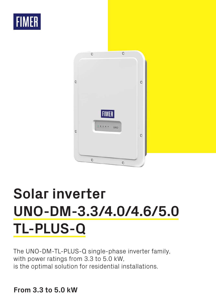



# **Solar inverter UNO-DM-3.3/4.0/4.6/5.0 TL-PLUS-Q**

The UNO-DM-TL-PLUS-Q single-phase inverter family, with power ratings from 3.3 to 5.0 kW, is the optimal solution for residential installations.

# **From 3.3 to 5.0 kW**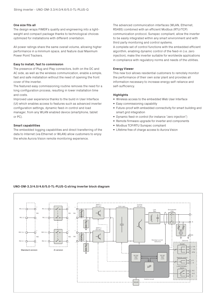#### **One size fits all**

The design wraps FIMER's quality and engineering into a lightweight and compact package thanks to technological choices optimized for installations with different orientation.

All power ratings share the same overall volume, allowing higher performance in a minimum space, and feature dual Maximum Power Point Trackers.

#### **Easy to install, fast to commission**

The presence of Plug and Play connectors, both on the DC and AC side, as well as the wireless communication, enable a simple, fast and safe installation without the need of opening the front cover of the inverter.

The featured easy commissioning routine removes the need for a long configuration process, resulting in lower installation time and costs.

Improved user experience thanks to the build in User Interface (UI) which enables access to features such as advanced inverter configuration settings, dynamic feed-in control and load manager, from any WLAN enabled device (smartphone, tablet or PC).

#### **Smart capabilities**

The embedded logging capabilities and direct transferring of the data to Internet (via Ethernet or WLAN) allow customers to enjoy the whole Aurora Vision remote monitoring experience.

The advanced communication interfaces (WLAN, Ethernet, RS485) combined with an efficient Modbus (RTU/TCP) communication protocol, Sunspec compliant, allow the inverter to be easily integrated within any smart environment and with third party monitoring and control systems.

A complete set of control functions with the embedded efficient algorithm, enabling dynamic control of the feed-in (i.e. zero injection), make the inverter suitable for worldwide applications in compliance with regulatory norms and needs of the utilities.

#### **Energy Viewer**

This new tool allows residential customers to remotely monitor the performance of their own solar plant and provides all information necessary to increase energy self-reliance and self-sufficiency.

## **Highlights**

- Wireless access to the embedded Web User Interface
- Easy commissioning capability
- Future-proof with embedded connectivity for smart building and smart grid integration
- Dynamic feed-in control (for instance "zero injection")
- Remote firmware upgrade for inverter and components
- Modbus TCP/RTU Sunspec compliant
- Lifetime free of charge access to Aurora Vision

## **UNO-DM-3.3/4.0/4.6/5.0-TL-PLUS-Q string inverter block diagram**

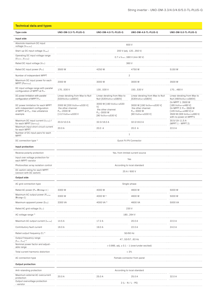| <b>Technical data and types</b>                                                                                  |                                                                                       |                                                                                                                    |                                                                                       |                                                                                                                                                                   |  |  |
|------------------------------------------------------------------------------------------------------------------|---------------------------------------------------------------------------------------|--------------------------------------------------------------------------------------------------------------------|---------------------------------------------------------------------------------------|-------------------------------------------------------------------------------------------------------------------------------------------------------------------|--|--|
| Type code                                                                                                        | UNO-DM-3.3-TL-PLUS-Q                                                                  | UNO-DM-4.0-TL-PLUS-Q                                                                                               | UNO-DM-4.6-TL-PLUS-Q                                                                  | UNO-DM-5.0-TL-PLUS-Q                                                                                                                                              |  |  |
| Input side                                                                                                       |                                                                                       |                                                                                                                    |                                                                                       |                                                                                                                                                                   |  |  |
| Absolute maximum DC input<br>voltage (V <sub>max,abs</sub> )                                                     | 600V                                                                                  |                                                                                                                    |                                                                                       |                                                                                                                                                                   |  |  |
| Start-up DC input voltage (V <sub>start</sub> )                                                                  |                                                                                       | 200 V (adj. 120350 V)                                                                                              |                                                                                       |                                                                                                                                                                   |  |  |
| Operating DC input voltage range<br>(V <sub>dominV<sub>dcmax</sub>)</sub>                                        | $0.7$ x $V_{start}$ 580 V (min 90 V)                                                  |                                                                                                                    |                                                                                       |                                                                                                                                                                   |  |  |
| Rated DC input voltage (Vdcr)                                                                                    | 360V                                                                                  |                                                                                                                    |                                                                                       |                                                                                                                                                                   |  |  |
| Rated DC input power $(P_{\text{dcr}})$                                                                          | 3500W                                                                                 | 4250W                                                                                                              | 4750W                                                                                 | 5150 W                                                                                                                                                            |  |  |
| Number of independent MPPT                                                                                       |                                                                                       |                                                                                                                    | $\overline{2}$                                                                        |                                                                                                                                                                   |  |  |
| Maximum DC input power for each<br>MPPT (PMPPTmax)                                                               | 2000W                                                                                 | 3000 W                                                                                                             | 3000 W                                                                                | 3500 W                                                                                                                                                            |  |  |
| DC input voltage range with parallel<br>configuration of MPPT at Pacr                                            | 170530 V                                                                              | 130530 V                                                                                                           | 150530 V                                                                              | 170480 V                                                                                                                                                          |  |  |
| DC power limitation with parallel<br>configuration of MPPT Pacr                                                  | Linear derating from Max to Null<br>[530V≤VMPPT≤580V]                                 | Linear derating from Max to<br>Null [530V≤VMPPT≤580V]                                                              | Linear derating from Max to Null<br>[530V≤VMPPT≤580V]                                 | Linear derating from Max to<br>Null [480V≤VMPPT≤580V]                                                                                                             |  |  |
| DC power limitation for each MPPT<br>with independent configuration<br>of MPPT at Pacr, max unbalance<br>example | 2000 W [200 V≤VMPPT≤530 V]<br>the other channel:<br>Pdcr-2000 W<br>[112 V≤VMPPT≤530 V | 3000 W [190 V≤V <sub>MPPT</sub> ≤530<br>V1<br>the other channel:<br>P <sub>dcr</sub> -3000 W<br>[90 V≤VMPPT≤530 V] | 3000 W [190 V≤VMPPT≤530 V]<br>the other channel:<br>Pdcr-3000 W<br>[90 V≤VMPPT≤530 V] | On MPPT 1: 3500 W<br>[185 V≤VMPPT≤480 V]<br>On MPPT 2: Pdcr-3500 W<br>[145 V≤V <sub>MPPT</sub> ≤480 V] or<br>3500 W (305 V≤VMPPT≤480 V)<br>with no power on MPPT1 |  |  |
| Maximum DC input current (Idcmax) /<br>for each MPPT (I <sub>MPPTmax</sub> )                                     | 20.0/10.0 A                                                                           | 32.0/16.0 A                                                                                                        | 32.0/16.0 A                                                                           | 30.5/19-11.5 A<br>(MPPT 1 - MPPT 2)                                                                                                                               |  |  |
| Maximum input short circuit current<br>for each MPPT                                                             | 20.0 A                                                                                | 20.0 A                                                                                                             | 20.0 A                                                                                | 22.0 A                                                                                                                                                            |  |  |
| Number of DC input pairs for each<br><b>MPPT</b>                                                                 |                                                                                       |                                                                                                                    |                                                                                       |                                                                                                                                                                   |  |  |
| DC connection type 1)                                                                                            | Quick Fit PV Connector                                                                |                                                                                                                    |                                                                                       |                                                                                                                                                                   |  |  |
| Input protection                                                                                                 |                                                                                       |                                                                                                                    |                                                                                       |                                                                                                                                                                   |  |  |
| Reverse polarity protection                                                                                      | Yes, from limited current source                                                      |                                                                                                                    |                                                                                       |                                                                                                                                                                   |  |  |
| Input over voltage protection for<br>each MPPT-varistor                                                          | Yes                                                                                   |                                                                                                                    |                                                                                       |                                                                                                                                                                   |  |  |
| Photovoltaic array isolation control                                                                             | According to local standard                                                           |                                                                                                                    |                                                                                       |                                                                                                                                                                   |  |  |
| DC switch rating for each MPPT<br>(version with DC switch)                                                       | 25 A / 600 V                                                                          |                                                                                                                    |                                                                                       |                                                                                                                                                                   |  |  |
| Output side                                                                                                      |                                                                                       |                                                                                                                    |                                                                                       |                                                                                                                                                                   |  |  |
| AC grid connection type                                                                                          | Single-phase                                                                          |                                                                                                                    |                                                                                       |                                                                                                                                                                   |  |  |
| Rated AC power ( $P_{\text{acr}}$ $\text{Cos}\varphi=1$ )                                                        | 3300W                                                                                 | 4000 W                                                                                                             | 4600W                                                                                 | 5000 W                                                                                                                                                            |  |  |
| Maximum AC output power (Pacmax<br>$\mathbb{P}\cos(\varphi=1)$                                                   | 3300W                                                                                 | 4000 W <sup>2)</sup>                                                                                               | 4600W                                                                                 | 5000 W                                                                                                                                                            |  |  |
| Maximum apparent power (S <sub>max</sub> )                                                                       | 3300 VA                                                                               | 4000 VA <sup>2)</sup>                                                                                              | 4600 VA                                                                               | 5000 VA                                                                                                                                                           |  |  |
| Rated AC grid voltage (Vac.r)                                                                                    | 230 V                                                                                 |                                                                                                                    |                                                                                       |                                                                                                                                                                   |  |  |
| AC voltage range <sup>3)</sup>                                                                                   | 180264 V                                                                              |                                                                                                                    |                                                                                       |                                                                                                                                                                   |  |  |
| Maximum AC output current (lac.max)                                                                              | 14.5 A                                                                                | 17.2 A                                                                                                             | 20.0 A                                                                                | 22.0 A<br>.                                                                                                                                                       |  |  |
| Contributory fault current                                                                                       | 16.0 A                                                                                | 19.0 A                                                                                                             | 22.0 A                                                                                | 24.0 A                                                                                                                                                            |  |  |
| Rated output frequency (f <sub>r</sub> ) <sup>4)</sup>                                                           | 50/60 Hz                                                                              |                                                                                                                    |                                                                                       |                                                                                                                                                                   |  |  |
| Output frequency range<br>$(\text{f}_{\text{minfmax}})^{4}$                                                      | 4753/5763 Hz                                                                          |                                                                                                                    |                                                                                       |                                                                                                                                                                   |  |  |
| Nominal power factor and adjust-<br>able range                                                                   | $> 0.995$ , adj. $\pm 0.1$ - 1 (over/under excited)                                   |                                                                                                                    |                                                                                       |                                                                                                                                                                   |  |  |
| Total current harmonic distortion                                                                                | < 3%                                                                                  |                                                                                                                    |                                                                                       |                                                                                                                                                                   |  |  |
| AC connection type                                                                                               | Female connector from panel                                                           |                                                                                                                    |                                                                                       |                                                                                                                                                                   |  |  |
| <b>Output protection</b>                                                                                         |                                                                                       |                                                                                                                    |                                                                                       |                                                                                                                                                                   |  |  |
| Anti-islanding protection                                                                                        | According to local standard                                                           |                                                                                                                    |                                                                                       |                                                                                                                                                                   |  |  |
| Maximum external AC overcurrent<br>protection                                                                    | 20.0 A                                                                                | .<br>25.0 A                                                                                                        | 25.0 A                                                                                | 32.0 A                                                                                                                                                            |  |  |
| Output overvoltage protection<br>- varistor                                                                      | $2(L - N / L - PE)$                                                                   |                                                                                                                    |                                                                                       |                                                                                                                                                                   |  |  |